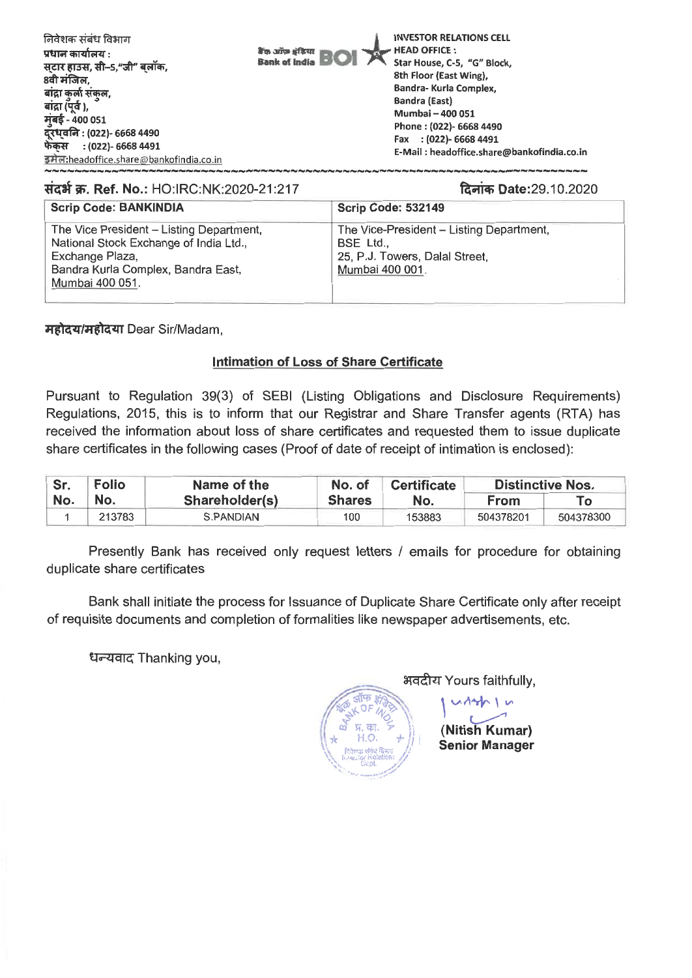| 8वी मंजिल,<br>Bandra- Kurla Complex,<br>बांद्रा कुर्ला संकल,<br>Bandra (East)<br>बांद्रा (पूर्व ),<br>Mumbai - 400 051<br>मुंबई - 400 051<br>दूरध्वनि : (022)- 6668 4490<br>फेकस<br>: (022)- 6668 4491<br>इमेल:headoffice.share@bankofindia.co.in | 8th Floor (East Wing),<br>Phone: (022)- 6668 4490<br>Fax : (022)- 6668 4491<br>E-Mail: headoffice.share@bankofindia.co.in |
|---------------------------------------------------------------------------------------------------------------------------------------------------------------------------------------------------------------------------------------------------|---------------------------------------------------------------------------------------------------------------------------|
|---------------------------------------------------------------------------------------------------------------------------------------------------------------------------------------------------------------------------------------------------|---------------------------------------------------------------------------------------------------------------------------|

## संदर्भ क्र. Ref. No.: HO:IRC:NK:2020-21:217

दिनांक Date:29.10.2020

| <b>Scrip Code: BANKINDIA</b>                                                                                                                                   | <b>Scrip Code: 532149</b>                                                                                  |
|----------------------------------------------------------------------------------------------------------------------------------------------------------------|------------------------------------------------------------------------------------------------------------|
| The Vice President - Listing Department,<br>National Stock Exchange of India Ltd.,<br>Exchange Plaza,<br>Bandra Kurla Complex, Bandra East,<br>Mumbai 400 051. | The Vice-President - Listing Department,<br>BSE Ltd.,<br>25, P.J. Towers, Dalal Street,<br>Mumbai 400 001. |

महोदय/महोदया Dear Sir/Madam,

## **Intimation of Loss of Share Certificate**

Pursuant to Regulation 39(3) of SEBI (Listing Obligations and Disclosure Requirements) Regulations, 2015, this is to inform that our Registrar and Share Transfer agents (RTA) has received the information about loss of share certificates and requested them to issue duplicate share certificates in the following cases (Proof of date of receipt of intimation is enclosed):

| Sr. | <b>Folio</b> | Name of the    | No. of        | <b>Certificate</b> | <b>Distinctive Nos.</b> |           |
|-----|--------------|----------------|---------------|--------------------|-------------------------|-----------|
| No. | No.          | Shareholder(s) | <b>Shares</b> | No.                | From                    | To        |
|     | 213783       | S.PANDIAN      | 100           | 153883             | 504378201               | 504378300 |

Presently Bank has received only request letters / emails for procedure for obtaining duplicate share certificates

Bank shall initiate the process for Issuance of Duplicate Share Certificate only after receipt of requisite documents and completion of formalities like newspaper advertisements, etc.

धन्यवाद Thanking you,

भवदीय Yours faithfully,

(Nitish Kumar) **Senior Manager**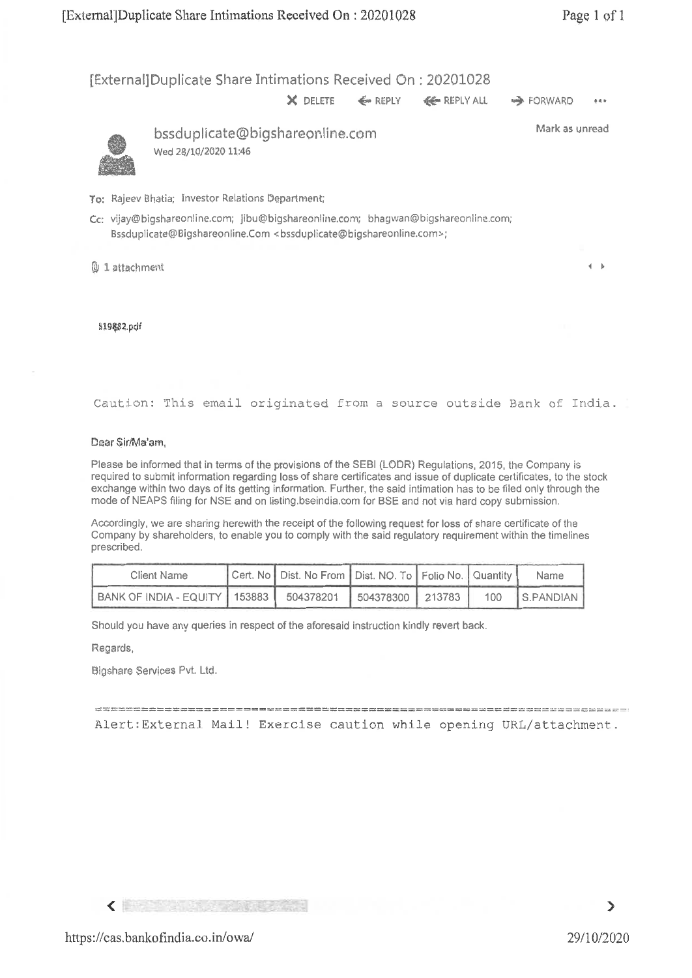[External] Duplicate Share Intimations Received On : 20201028

X DELETE ← REPLY **<< REPLY ALL → FORWARD** \*\*\*



bssduplicate@bigshareonline.com Wed 28/10/2020 11:46

Mark as unread

 $\mathbf{d} = \mathbf{b}$ 

To: Rajeev Bhatia; Investor Relations Department;

Cc: vijay©bigshareonline.com; jibu@bigshareonline.com; bhagwan@bigshareonline.com; Bssduplicate@Bigshareonline.Com <bssduplicate@bigshareonline.com>;

l 1 attachment

5198\$2.pcif

Caution: This email originated from a source outside Bank of India.

### Dear Sir/Ma'arn,

Please be informed that in terms of the provisions of the SEBI (LODR) Regulations, 2015, the Company is required to submit information regarding loss of share certificates and issue of duplicate certificates, to the stock exchange within two days of its getting information. Further, the said intimation has to be filed only through the mode of NEAPS filing for NSE and on listing.bseindia.com for BSE and not via hard copy submission.

Accordingly, we are sharing herewith the receipt of the following request for loss of share certificate of the Company by shareholders, to enable you to comply with the said regulatory requirement within the timelines prescribed.

| Client Name                                                      | Cert. No   Dist. No From   Dist. NO. To   Folio No.   Quantity |  | Name          |
|------------------------------------------------------------------|----------------------------------------------------------------|--|---------------|
| BANK OF INDIA - EQUITY   153883   504378201   504378300   213783 |                                                                |  | 100 S.PANDIAN |

Should you have any queries in respect of the aforesaid instruction kindly revert back.

Regards,

Bigshare Services Pvt. Ltd.

 $\frac{1}{2} \frac{1}{2} \frac{1}{2} \frac{1}{2} \frac{1}{2} \frac{1}{2} \frac{1}{2} \frac{1}{2} \frac{1}{2} \frac{1}{2} \frac{1}{2} \frac{1}{2} \frac{1}{2} \frac{1}{2} \frac{1}{2} \frac{1}{2} \frac{1}{2} \frac{1}{2} \frac{1}{2} \frac{1}{2} \frac{1}{2} \frac{1}{2} \frac{1}{2} \frac{1}{2} \frac{1}{2} \frac{1}{2} \frac{1}{2} \frac{1}{2} \frac{1}{2} \frac{1}{2} \frac{1}{2} \frac{$ Alert:External Mail! Exercise caution while opening URL/attachment.